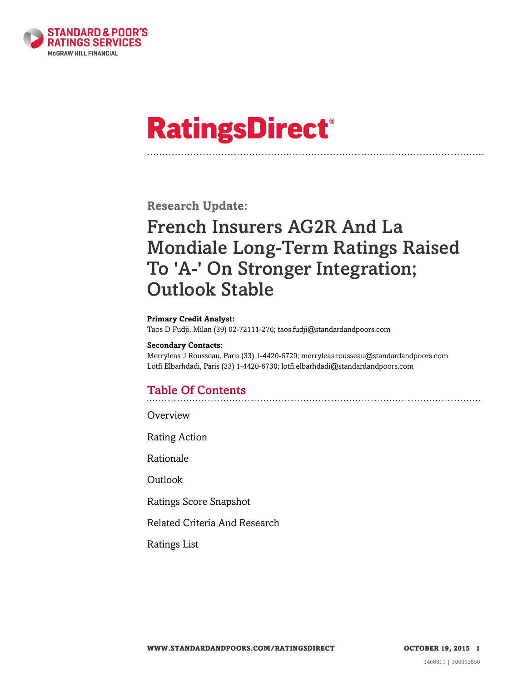

# **RatingsDirect®**

**Research Update:**

# French Insurers AG2R And La Mondiale Long-Term Ratings Raised To 'A-' On Stronger Integration; Outlook Stable

#### **Primary Credit Analyst:**

Taos D Fudji, Milan (39) 02-72111-276; taos.fudji@standardandpoors.com

#### **Secondary Contacts:**

Merryleas J Rousseau, Paris (33) 1-4420-6729; merryleas.rousseau@standardandpoors.com Lotfi Elbarhdadi, Paris (33) 1-4420-6730; lotfi.elbarhdadi@standardandpoors.com

# Table Of Contents

[Overview](#page-1-0)

[Rating Action](#page-1-1)

[Rationale](#page-1-2)

[Outlook](#page-3-0)

[Ratings Score Snapshot](#page-3-1)

[Related Criteria And Research](#page-4-0)

[Ratings List](#page-4-1)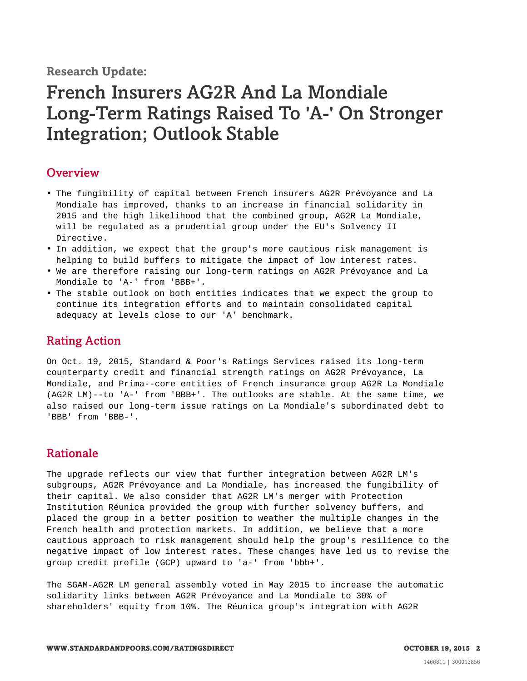**Research Update:**

# French Insurers AG2R And La Mondiale Long-Term Ratings Raised To 'A-' On Stronger Integration; Outlook Stable

#### <span id="page-1-0"></span>**Overview**

- The fungibility of capital between French insurers AG2R Prévoyance and La Mondiale has improved, thanks to an increase in financial solidarity in 2015 and the high likelihood that the combined group, AG2R La Mondiale, will be regulated as a prudential group under the EU's Solvency II Directive.
- In addition, we expect that the group's more cautious risk management is helping to build buffers to mitigate the impact of low interest rates.
- We are therefore raising our long-term ratings on AG2R Prévoyance and La Mondiale to 'A-' from 'BBB+'.
- The stable outlook on both entities indicates that we expect the group to continue its integration efforts and to maintain consolidated capital adequacy at levels close to our 'A' benchmark.

## <span id="page-1-1"></span>Rating Action

On Oct. 19, 2015, Standard & Poor's Ratings Services raised its long-term counterparty credit and financial strength ratings on AG2R Prévoyance, La Mondiale, and Prima--core entities of French insurance group AG2R La Mondiale (AG2R LM)--to 'A-' from 'BBB+'. The outlooks are stable. At the same time, we also raised our long-term issue ratings on La Mondiale's subordinated debt to 'BBB' from 'BBB-'.

### <span id="page-1-2"></span>Rationale

The upgrade reflects our view that further integration between AG2R LM's subgroups, AG2R Prévoyance and La Mondiale, has increased the fungibility of their capital. We also consider that AG2R LM's merger with Protection Institution Réunica provided the group with further solvency buffers, and placed the group in a better position to weather the multiple changes in the French health and protection markets. In addition, we believe that a more cautious approach to risk management should help the group's resilience to the negative impact of low interest rates. These changes have led us to revise the group credit profile (GCP) upward to 'a-' from 'bbb+'.

The SGAM-AG2R LM general assembly voted in May 2015 to increase the automatic solidarity links between AG2R Prévoyance and La Mondiale to 30% of shareholders' equity from 10%. The Réunica group's integration with AG2R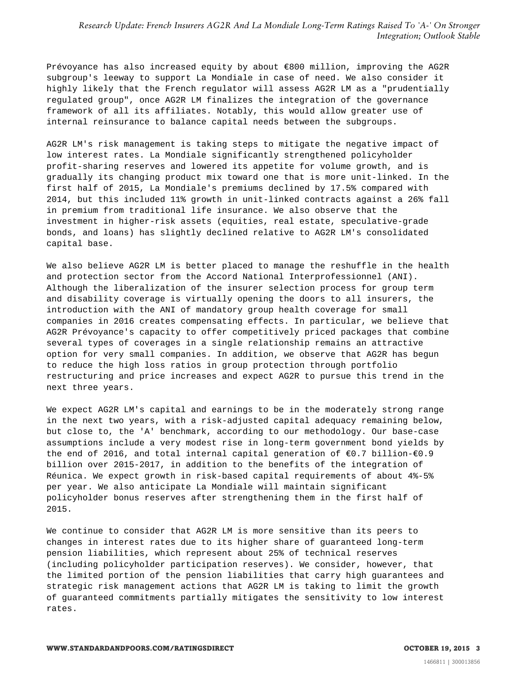Prévoyance has also increased equity by about €800 million, improving the AG2R subgroup's leeway to support La Mondiale in case of need. We also consider it highly likely that the French regulator will assess AG2R LM as a "prudentially regulated group", once AG2R LM finalizes the integration of the governance framework of all its affiliates. Notably, this would allow greater use of internal reinsurance to balance capital needs between the subgroups.

AG2R LM's risk management is taking steps to mitigate the negative impact of low interest rates. La Mondiale significantly strengthened policyholder profit-sharing reserves and lowered its appetite for volume growth, and is gradually its changing product mix toward one that is more unit-linked. In the first half of 2015, La Mondiale's premiums declined by 17.5% compared with 2014, but this included 11% growth in unit-linked contracts against a 26% fall in premium from traditional life insurance. We also observe that the investment in higher-risk assets (equities, real estate, speculative-grade bonds, and loans) has slightly declined relative to AG2R LM's consolidated capital base.

We also believe AG2R LM is better placed to manage the reshuffle in the health and protection sector from the Accord National Interprofessionnel (ANI). Although the liberalization of the insurer selection process for group term and disability coverage is virtually opening the doors to all insurers, the introduction with the ANI of mandatory group health coverage for small companies in 2016 creates compensating effects. In particular, we believe that AG2R Prévoyance's capacity to offer competitively priced packages that combine several types of coverages in a single relationship remains an attractive option for very small companies. In addition, we observe that AG2R has begun to reduce the high loss ratios in group protection through portfolio restructuring and price increases and expect AG2R to pursue this trend in the next three years.

We expect AG2R LM's capital and earnings to be in the moderately strong range in the next two years, with a risk-adjusted capital adequacy remaining below, but close to, the 'A' benchmark, according to our methodology. Our base-case assumptions include a very modest rise in long-term government bond yields by the end of 2016, and total internal capital generation of  $€0.7$  billion- $€0.9$ billion over 2015-2017, in addition to the benefits of the integration of Réunica. We expect growth in risk-based capital requirements of about 4%-5% per year. We also anticipate La Mondiale will maintain significant policyholder bonus reserves after strengthening them in the first half of 2015.

We continue to consider that AG2R LM is more sensitive than its peers to changes in interest rates due to its higher share of guaranteed long-term pension liabilities, which represent about 25% of technical reserves (including policyholder participation reserves). We consider, however, that the limited portion of the pension liabilities that carry high guarantees and strategic risk management actions that AG2R LM is taking to limit the growth of guaranteed commitments partially mitigates the sensitivity to low interest rates.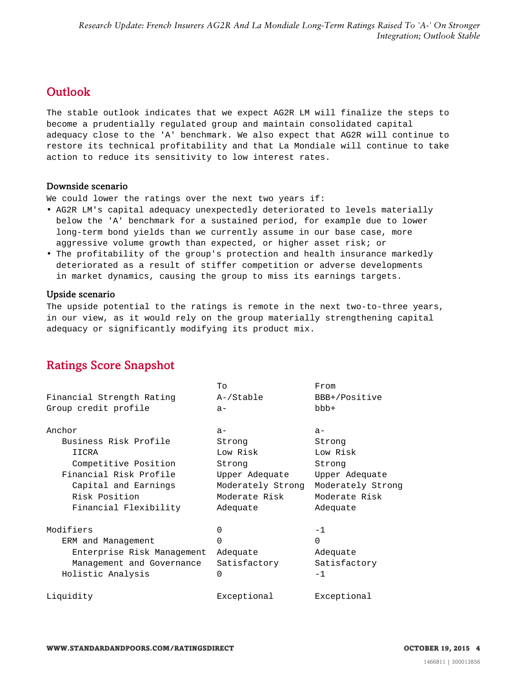# <span id="page-3-0"></span>**Outlook**

The stable outlook indicates that we expect AG2R LM will finalize the steps to become a prudentially regulated group and maintain consolidated capital adequacy close to the 'A' benchmark. We also expect that AG2R will continue to restore its technical profitability and that La Mondiale will continue to take action to reduce its sensitivity to low interest rates.

#### Downside scenario

We could lower the ratings over the next two years if:

- AG2R LM's capital adequacy unexpectedly deteriorated to levels materially below the 'A' benchmark for a sustained period, for example due to lower long-term bond yields than we currently assume in our base case, more aggressive volume growth than expected, or higher asset risk; or
- The profitability of the group's protection and health insurance markedly deteriorated as a result of stiffer competition or adverse developments in market dynamics, causing the group to miss its earnings targets.

#### Upside scenario

The upside potential to the ratings is remote in the next two-to-three years, in our view, as it would rely on the group materially strengthening capital adequacy or significantly modifying its product mix.

# <span id="page-3-1"></span>Ratings Score Snapshot

|                            | To                | From              |
|----------------------------|-------------------|-------------------|
| Financial Strength Rating  | A-/Stable         | BBB+/Positive     |
| Group credit profile       | $a -$             | $bbb +$           |
| Anchor                     | $a -$             | $a-$              |
| Business Risk Profile      | Strong            | Strong            |
| IICRA                      | Low Risk          | Low Risk          |
| Competitive Position       | Strong            | Strong            |
| Financial Risk Profile     | Upper Adequate    | Upper Adequate    |
| Capital and Earnings       | Moderately Strong | Moderately Strong |
| Risk Position              | Moderate Risk     | Moderate Risk     |
| Financial Flexibility      | Adequate          | Adequate          |
| Modifiers                  | 0                 | $-1$              |
| ERM and Management         | $\Omega$          | $\Omega$          |
| Enterprise Risk Management | Adequate          | Adequate          |
| Management and Governance  | Satisfactory      | Satisfactory      |
| Holistic Analysis          | 0                 | $-1$              |
| Liquidity                  | Exceptional       | Exceptional       |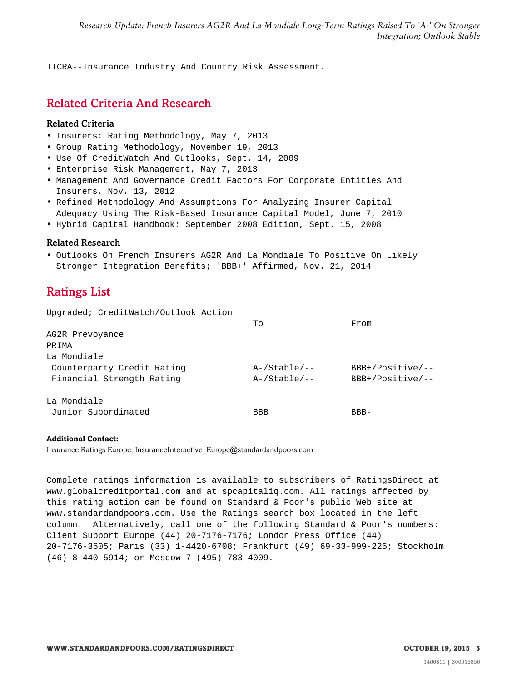<span id="page-4-0"></span>IICRA--Insurance Industry And Country Risk Assessment.

## Related Criteria And Research

#### Related Criteria

- Insurers: Rating Methodology, May 7, 2013
- Group Rating Methodology, November 19, 2013
- Use Of CreditWatch And Outlooks, Sept. 14, 2009
- Enterprise Risk Management, May 7, 2013
- Management And Governance Credit Factors For Corporate Entities And Insurers, Nov. 13, 2012
- Refined Methodology And Assumptions For Analyzing Insurer Capital Adequacy Using The Risk-Based Insurance Capital Model, June 7, 2010
- Hybrid Capital Handbook: September 2008 Edition, Sept. 15, 2008

#### Related Research

<span id="page-4-1"></span>• Outlooks On French Insurers AG2R And La Mondiale To Positive On Likely Stronger Integration Benefits; 'BBB+' Affirmed, Nov. 21, 2014

# Ratings List

Upgraded; CreditWatch/Outlook Action

|                                                         | To                                 | From                                     |
|---------------------------------------------------------|------------------------------------|------------------------------------------|
| AG2R Prevoyance                                         |                                    |                                          |
| PRIMA                                                   |                                    |                                          |
| La Mondiale                                             |                                    |                                          |
| Counterparty Credit Rating<br>Financial Strength Rating | $A$ -/Stable/--<br>$A$ -/Stable/-- | $BBB+/Positive/--$<br>$BBB+/Positive/--$ |
| La Mondiale                                             |                                    |                                          |
| Junior Subordinated                                     | <b>BBB</b>                         | $RBR-$                                   |

#### **Additional Contact:**

Insurance Ratings Europe; InsuranceInteractive\_Europe@standardandpoors.com

Complete ratings information is available to subscribers of RatingsDirect at www.globalcreditportal.com and at spcapitaliq.com. All ratings affected by this rating action can be found on Standard & Poor's public Web site at www.standardandpoors.com. Use the Ratings search box located in the left column. Alternatively, call one of the following Standard & Poor's numbers: Client Support Europe (44) 20-7176-7176; London Press Office (44) 20-7176-3605; Paris (33) 1-4420-6708; Frankfurt (49) 69-33-999-225; Stockholm (46) 8-440-5914; or Moscow 7 (495) 783-4009.